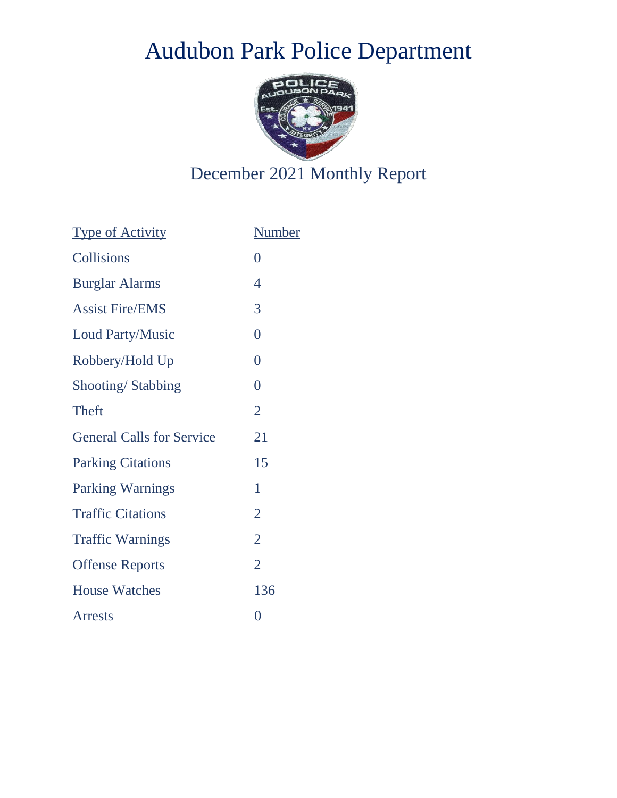## Audubon Park Police Department



## December 2021 Monthly Report

| <b>Type of Activity</b>          | <b>Number</b>  |
|----------------------------------|----------------|
| Collisions                       | $\overline{0}$ |
| <b>Burglar Alarms</b>            | $\overline{4}$ |
| <b>Assist Fire/EMS</b>           | 3              |
| <b>Loud Party/Music</b>          | $\overline{0}$ |
| Robbery/Hold Up                  | $\overline{0}$ |
| Shooting/Stabbing                | $\overline{0}$ |
| <b>Theft</b>                     | $\overline{2}$ |
| <b>General Calls for Service</b> | 21             |
| <b>Parking Citations</b>         | 15             |
| <b>Parking Warnings</b>          | 1              |
| <b>Traffic Citations</b>         | $\overline{2}$ |
| <b>Traffic Warnings</b>          | $\overline{2}$ |
| <b>Offense Reports</b>           | $\overline{2}$ |
| <b>House Watches</b>             | 136            |
| <b>Arrests</b>                   | $\overline{0}$ |